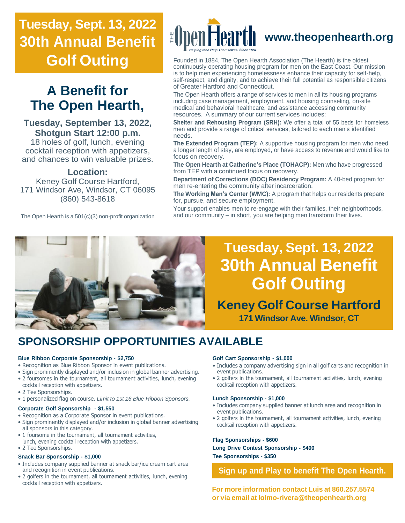# **Tuesday, Sept. 13, 2022 30th Annual Benefit Golf Outing**

# **A Benefit for The Open Hearth,**

**Tuesday, September 13, 2022, Shotgun Start 12:00 p.m.**

18 holes of golf, lunch, evening cocktail reception with appetizers, and chances to win valuable prizes.

#### **Location:**

Keney Golf Course Hartford, 171 Windsor Ave, Windsor, CT 06095 (860) 543-8618

The Open Hearth is a 501(c)(3) non-profit organization



Founded in 1884, The Open Hearth Association (The Hearth) is the oldest continuously operating housing program for men on the East Coast. Our mission is to help men experiencing homelessness enhance their capacity for self-help, self-respect, and dignity, and to achieve their full potential as responsible citizens of Greater Hartford and Connecticut.

The Open Hearth offers a range of services to men in all its housing programs including case management, employment, and housing counseling, on-site medical and behavioral healthcare, and assistance accessing community resources. A summary of our current services includes:

**Shelter and Rehousing Program (SRH):** We offer a total of 55 beds for homeless men and provide a range of critical services, tailored to each man's identified needs.

**The Extended Program (TEP):** A supportive housing program for men who need a longer length of stay, are employed, or have access to revenue and would like to focus on recovery.

**The Open Hearth at Catherine's Place (TOHACP):** Men who have progressed from TEP with a continued focus on recovery.

**Department of Corrections (DOC) Residency Program:** A 40-bed program for men re-entering the community after incarceration.

**The Working Man's Center (WMC):** A program that helps our residents prepare for, pursue, and secure employment.

Your support enables men to re-engage with their families, their neighborhoods, and our community – in short, you are helping men transform their lives.



# **Tuesday, Sept. 13, 2022 30th Annual Benefit Golf Outing**

**Keney Golf Course Hartford 171 Windsor Ave. Windsor, CT**

### **SPONSORSHIP OPPORTUNITIES AVAILABLE**

#### **Blue Ribbon Corporate Sponsorship - \$2,750**

- Recognition as Blue Ribbon Sponsor in event publications.
- Sign prominently displayed and/or inclusion in global banner advertising.
- 2 foursomes in the tournament, all tournament activities, lunch, evening cocktail reception with appetizers.
- 2 Tee Sponsorships.
- 1 personalized flag on course. *Limit to 1st 16 Blue Ribbon Sponsors.*

#### **Corporate Golf Sponsorship - \$1,550**

- Recognition as a Corporate Sponsor in event publications.
- Sign prominently displayed and/or inclusion in global banner advertising all sponsors in this category.
- 1 foursome in the tournament, all tournament activities, lunch, evening cocktail reception with appetizers.
- 2 Tee Sponsorships.

#### **Snack Bar Sponsorship - \$1,000**

- Includes company supplied banner at snack bar/ice cream cart area and recognition in event publications.
- 2 golfers in the tournament, all tournament activities, lunch, evening cocktail reception with appetizers.

#### **Golf Cart Sponsorship - \$1,000**

- Includes a company advertising sign in all golf carts and recognition in event publications.
- 2 golfers in the tournament, all tournament activities, lunch, evening cocktail reception with appetizers.

#### **Lunch Sponsorship - \$1,000**

- Includes company supplied banner at lunch area and recognition in event publications.
- 2 golfers in the tournament, all tournament activities, lunch, evening cocktail reception with appetizers.

#### **Flag Sponsorships - \$600**

**Long Drive Contest Sponsorship - \$400 Tee Sponsorships - \$350**

#### **Sign up and Play to benefit The Open Hearth.**

**For more information contact Luis at 860.257.5574 or via email at [lolmo-rivera@theopenhearth.org](mailto:lolmo-rivera@theopenhearth.org)**